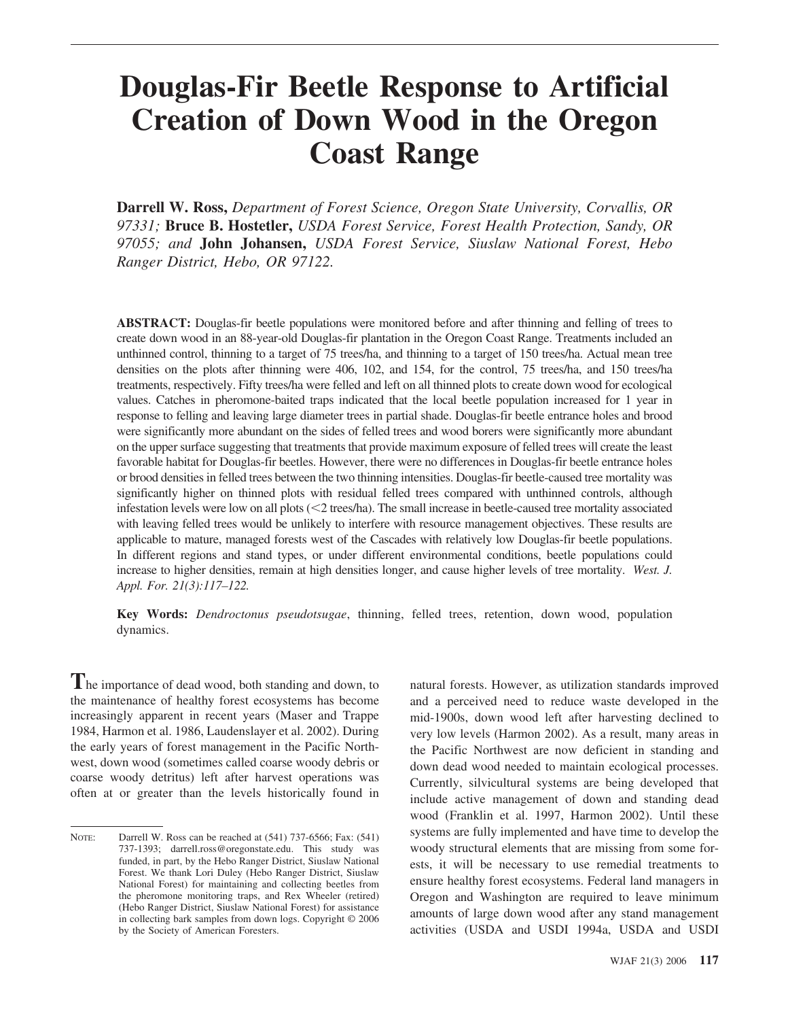# **Douglas-Fir Beetle Response to Artificial Creation of Down Wood in the Oregon Coast Range**

**Darrell W. Ross,** *Department of Forest Science, Oregon State University, Corvallis, OR 97331;* **Bruce B. Hostetler,** *USDA Forest Service, Forest Health Protection, Sandy, OR 97055; and* **John Johansen,** *USDA Forest Service, Siuslaw National Forest, Hebo Ranger District, Hebo, OR 97122.*

**ABSTRACT:** Douglas-fir beetle populations were monitored before and after thinning and felling of trees to create down wood in an 88-year-old Douglas-fir plantation in the Oregon Coast Range. Treatments included an unthinned control, thinning to a target of 75 trees/ha, and thinning to a target of 150 trees/ha. Actual mean tree densities on the plots after thinning were 406, 102, and 154, for the control, 75 trees/ha, and 150 trees/ha treatments, respectively. Fifty trees/ha were felled and left on all thinned plots to create down wood for ecological values. Catches in pheromone-baited traps indicated that the local beetle population increased for 1 year in response to felling and leaving large diameter trees in partial shade. Douglas-fir beetle entrance holes and brood were significantly more abundant on the sides of felled trees and wood borers were significantly more abundant on the upper surface suggesting that treatments that provide maximum exposure of felled trees will create the least favorable habitat for Douglas-fir beetles. However, there were no differences in Douglas-fir beetle entrance holes or brood densities in felled trees between the two thinning intensities. Douglas-fir beetle-caused tree mortality was significantly higher on thinned plots with residual felled trees compared with unthinned controls, although infestation levels were low on all plots  $\langle \langle 2 \rangle$  trees/ha). The small increase in beetle-caused tree mortality associated with leaving felled trees would be unlikely to interfere with resource management objectives. These results are applicable to mature, managed forests west of the Cascades with relatively low Douglas-fir beetle populations. In different regions and stand types, or under different environmental conditions, beetle populations could increase to higher densities, remain at high densities longer, and cause higher levels of tree mortality. *West. J. Appl. For. 21(3):117–122.*

**Key Words:** *Dendroctonus pseudotsugae*, thinning, felled trees, retention, down wood, population dynamics.

**T**he importance of dead wood, both standing and down, to the maintenance of healthy forest ecosystems has become increasingly apparent in recent years (Maser and Trappe 1984, Harmon et al. 1986, Laudenslayer et al. 2002). During the early years of forest management in the Pacific Northwest, down wood (sometimes called coarse woody debris or coarse woody detritus) left after harvest operations was often at or greater than the levels historically found in

natural forests. However, as utilization standards improved and a perceived need to reduce waste developed in the mid-1900s, down wood left after harvesting declined to very low levels (Harmon 2002). As a result, many areas in the Pacific Northwest are now deficient in standing and down dead wood needed to maintain ecological processes. Currently, silvicultural systems are being developed that include active management of down and standing dead wood (Franklin et al. 1997, Harmon 2002). Until these systems are fully implemented and have time to develop the woody structural elements that are missing from some forests, it will be necessary to use remedial treatments to ensure healthy forest ecosystems. Federal land managers in Oregon and Washington are required to leave minimum amounts of large down wood after any stand management activities (USDA and USDI 1994a, USDA and USDI

NOTE: Darrell W. Ross can be reached at  $(541)$  737-6566; Fax: (541) 737-1393; darrell.ross@oregonstate.edu. This study was funded, in part, by the Hebo Ranger District, Siuslaw National Forest. We thank Lori Duley (Hebo Ranger District, Siuslaw National Forest) for maintaining and collecting beetles from the pheromone monitoring traps, and Rex Wheeler (retired) (Hebo Ranger District, Siuslaw National Forest) for assistance in collecting bark samples from down logs. Copyright © 2006 by the Society of American Foresters.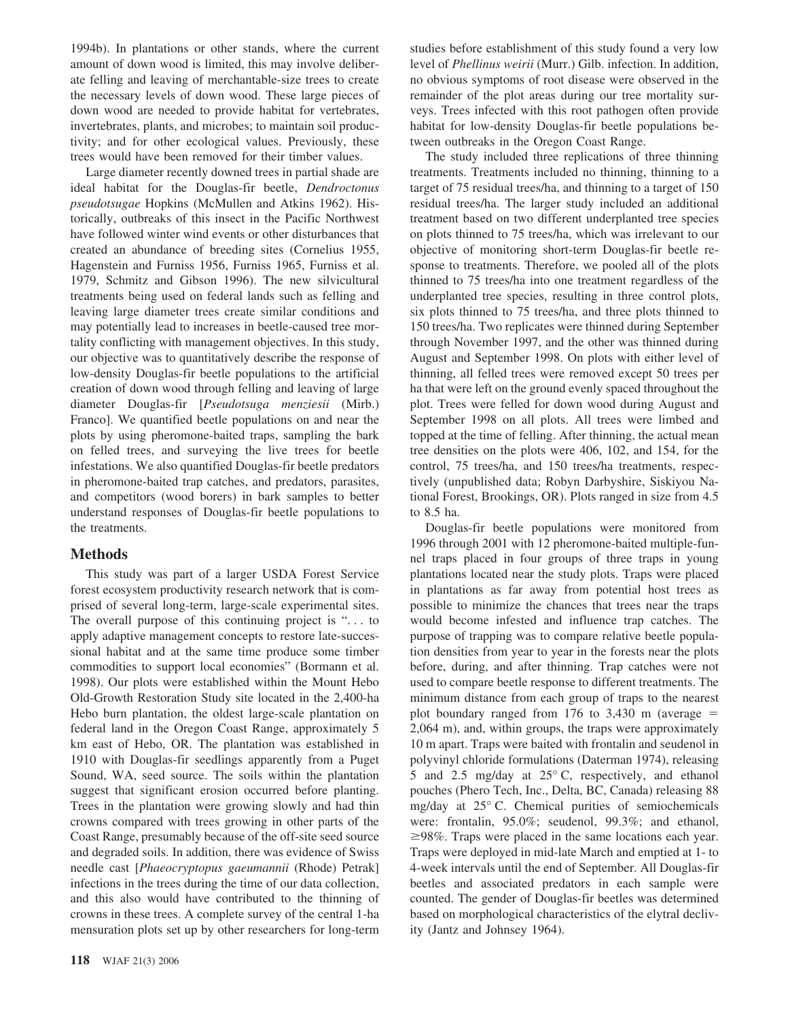1994b). In plantations or other stands, where the current amount of down wood is limited, this may involve deliberate felling and leaving of merchantable-size trees to create the necessary levels of down wood. These large pieces of down wood are needed to provide habitat for vertebrates, invertebrates, plants, and microbes; to maintain soil productivity; and for other ecological values. Previously, these trees would have been removed for their timber values.

Large diameter recently downed trees in partial shade are ideal habitat for the Douglas-fir beetle, *Dendroctonus pseudotsugae* Hopkins (McMullen and Atkins 1962). Historically, outbreaks of this insect in the Pacific Northwest have followed winter wind events or other disturbances that created an abundance of breeding sites (Cornelius 1955, Hagenstein and Furniss 1956, Furniss 1965, Furniss et al. 1979, Schmitz and Gibson 1996). The new silvicultural treatments being used on federal lands such as felling and leaving large diameter trees create similar conditions and may potentially lead to increases in beetle-caused tree mortality conflicting with management objectives. In this study, our objective was to quantitatively describe the response of low-density Douglas-fir beetle populations to the artificial creation of down wood through felling and leaving of large diameter Douglas-fir [*Pseudotsuga menziesii* (Mirb.) Franco]. We quantified beetle populations on and near the plots by using pheromone-baited traps, sampling the bark on felled trees, and surveying the live trees for beetle infestations. We also quantified Douglas-fir beetle predators in pheromone-baited trap catches, and predators, parasites, and competitors (wood borers) in bark samples to better understand responses of Douglas-fir beetle populations to the treatments.

# **Methods**

This study was part of a larger USDA Forest Service forest ecosystem productivity research network that is comprised of several long-term, large-scale experimental sites. The overall purpose of this continuing project is "... to apply adaptive management concepts to restore late-successional habitat and at the same time produce some timber commodities to support local economies" (Bormann et al. 1998). Our plots were established within the Mount Hebo Old-Growth Restoration Study site located in the 2,400-ha Hebo burn plantation, the oldest large-scale plantation on federal land in the Oregon Coast Range, approximately 5 km east of Hebo, OR. The plantation was established in 1910 with Douglas-fir seedlings apparently from a Puget Sound, WA, seed source. The soils within the plantation suggest that significant erosion occurred before planting. Trees in the plantation were growing slowly and had thin crowns compared with trees growing in other parts of the Coast Range, presumably because of the off-site seed source and degraded soils. In addition, there was evidence of Swiss needle cast [*Phaeocryptopus gaeumannii* (Rhode) Petrak] infections in the trees during the time of our data collection, and this also would have contributed to the thinning of crowns in these trees. A complete survey of the central 1-ha mensuration plots set up by other researchers for long-term

studies before establishment of this study found a very low level of *Phellinus weirii* (Murr.) Gilb. infection. In addition, no obvious symptoms of root disease were observed in the remainder of the plot areas during our tree mortality surveys. Trees infected with this root pathogen often provide habitat for low-density Douglas-fir beetle populations between outbreaks in the Oregon Coast Range.

The study included three replications of three thinning treatments. Treatments included no thinning, thinning to a target of 75 residual trees/ha, and thinning to a target of 150 residual trees/ha. The larger study included an additional treatment based on two different underplanted tree species on plots thinned to 75 trees/ha, which was irrelevant to our objective of monitoring short-term Douglas-fir beetle response to treatments. Therefore, we pooled all of the plots thinned to 75 trees/ha into one treatment regardless of the underplanted tree species, resulting in three control plots, six plots thinned to 75 trees/ha, and three plots thinned to 150 trees/ha. Two replicates were thinned during September through November 1997, and the other was thinned during August and September 1998. On plots with either level of thinning, all felled trees were removed except 50 trees per ha that were left on the ground evenly spaced throughout the plot. Trees were felled for down wood during August and September 1998 on all plots. All trees were limbed and topped at the time of felling. After thinning, the actual mean tree densities on the plots were 406, 102, and 154, for the control, 75 trees/ha, and 150 trees/ha treatments, respectively (unpublished data; Robyn Darbyshire, Siskiyou National Forest, Brookings, OR). Plots ranged in size from 4.5 to 8.5 ha.

Douglas-fir beetle populations were monitored from 1996 through 2001 with 12 pheromone-baited multiple-funnel traps placed in four groups of three traps in young plantations located near the study plots. Traps were placed in plantations as far away from potential host trees as possible to minimize the chances that trees near the traps would become infested and influence trap catches. The purpose of trapping was to compare relative beetle population densities from year to year in the forests near the plots before, during, and after thinning. Trap catches were not used to compare beetle response to different treatments. The minimum distance from each group of traps to the nearest plot boundary ranged from  $176$  to  $3,430$  m (average  $=$ 2,064 m), and, within groups, the traps were approximately 10 m apart. Traps were baited with frontalin and seudenol in polyvinyl chloride formulations (Daterman 1974), releasing 5 and 2.5 mg/day at 25° C, respectively, and ethanol pouches (Phero Tech, Inc., Delta, BC, Canada) releasing 88 mg/day at 25° C. Chemical purities of semiochemicals were: frontalin, 95.0%; seudenol, 99.3%; and ethanol,  $\geq$ 98%. Traps were placed in the same locations each year. Traps were deployed in mid-late March and emptied at 1- to 4-week intervals until the end of September. All Douglas-fir beetles and associated predators in each sample were counted. The gender of Douglas-fir beetles was determined based on morphological characteristics of the elytral declivity (Jantz and Johnsey 1964).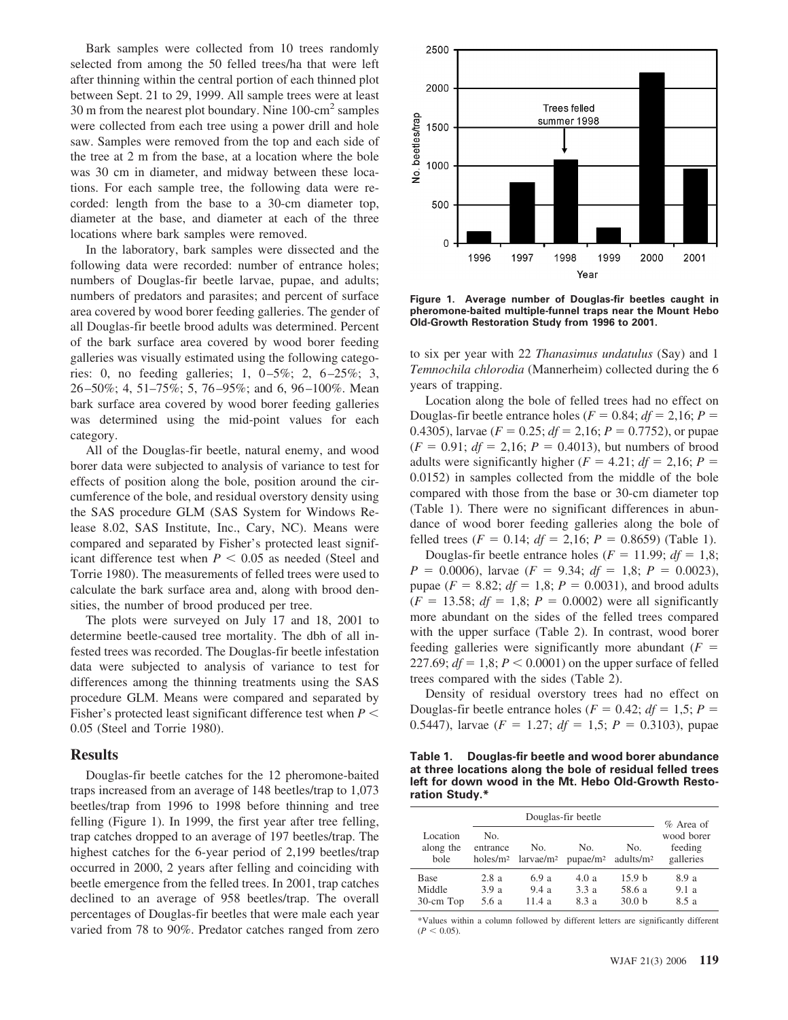Bark samples were collected from 10 trees randomly selected from among the 50 felled trees/ha that were left after thinning within the central portion of each thinned plot between Sept. 21 to 29, 1999. All sample trees were at least 30 m from the nearest plot boundary. Nine  $100\text{-cm}^2$  samples were collected from each tree using a power drill and hole saw. Samples were removed from the top and each side of the tree at 2 m from the base, at a location where the bole was 30 cm in diameter, and midway between these locations. For each sample tree, the following data were recorded: length from the base to a 30-cm diameter top, diameter at the base, and diameter at each of the three locations where bark samples were removed.

In the laboratory, bark samples were dissected and the following data were recorded: number of entrance holes; numbers of Douglas-fir beetle larvae, pupae, and adults; numbers of predators and parasites; and percent of surface area covered by wood borer feeding galleries. The gender of all Douglas-fir beetle brood adults was determined. Percent of the bark surface area covered by wood borer feeding galleries was visually estimated using the following categories: 0, no feeding galleries; 1,  $0-5\%$ ; 2,  $6-25\%$ ; 3, 26 –50%; 4, 51–75%; 5, 76 –95%; and 6, 96 –100%. Mean bark surface area covered by wood borer feeding galleries was determined using the mid-point values for each category.

All of the Douglas-fir beetle, natural enemy, and wood borer data were subjected to analysis of variance to test for effects of position along the bole, position around the circumference of the bole, and residual overstory density using the SAS procedure GLM (SAS System for Windows Release 8.02, SAS Institute, Inc., Cary, NC). Means were compared and separated by Fisher's protected least significant difference test when  $P < 0.05$  as needed (Steel and Torrie 1980). The measurements of felled trees were used to calculate the bark surface area and, along with brood densities, the number of brood produced per tree.

The plots were surveyed on July 17 and 18, 2001 to determine beetle-caused tree mortality. The dbh of all infested trees was recorded. The Douglas-fir beetle infestation data were subjected to analysis of variance to test for differences among the thinning treatments using the SAS procedure GLM. Means were compared and separated by Fisher's protected least significant difference test when *P* 0.05 (Steel and Torrie 1980).

### **Results**

Douglas-fir beetle catches for the 12 pheromone-baited traps increased from an average of 148 beetles/trap to 1,073 beetles/trap from 1996 to 1998 before thinning and tree felling (Figure 1). In 1999, the first year after tree felling, trap catches dropped to an average of 197 beetles/trap. The highest catches for the 6-year period of 2,199 beetles/trap occurred in 2000, 2 years after felling and coinciding with beetle emergence from the felled trees. In 2001, trap catches declined to an average of 958 beetles/trap. The overall percentages of Douglas-fir beetles that were male each year varied from 78 to 90%. Predator catches ranged from zero



**Figure 1. Average number of Douglas-fir beetles caught in pheromone-baited multiple-funnel traps near the Mount Hebo Old-Growth Restoration Study from 1996 to 2001.**

to six per year with 22 *Thanasimus undatulus* (Say) and 1 *Temnochila chlorodia* (Mannerheim) collected during the 6 years of trapping.

Location along the bole of felled trees had no effect on Douglas-fir beetle entrance holes ( $F = 0.84$ ;  $df = 2.16$ ;  $P =$ 0.4305), larvae ( $F = 0.25$ ;  $df = 2.16$ ;  $P = 0.7752$ ), or pupae  $(F = 0.91; df = 2,16; P = 0.4013)$ , but numbers of brood adults were significantly higher ( $F = 4.21$ ;  $df = 2.16$ ;  $P =$ 0.0152) in samples collected from the middle of the bole compared with those from the base or 30-cm diameter top (Table 1). There were no significant differences in abundance of wood borer feeding galleries along the bole of felled trees ( $F = 0.14$ ;  $df = 2.16$ ;  $P = 0.8659$ ) (Table 1).

Douglas-fir beetle entrance holes ( $F = 11.99$ ;  $df = 1,8$ ;  $P = 0.0006$ , larvae ( $F = 9.34$ ;  $df = 1.8$ ;  $P = 0.0023$ ), pupae ( $F = 8.82$ ;  $df = 1.8$ ;  $P = 0.0031$ ), and brood adults  $(F = 13.58; df = 1,8; P = 0.0002)$  were all significantly more abundant on the sides of the felled trees compared with the upper surface (Table 2). In contrast, wood borer feeding galleries were significantly more abundant  $(F =$ 227.69;  $df = 1,8; P < 0.0001$ ) on the upper surface of felled trees compared with the sides (Table 2).

Density of residual overstory trees had no effect on Douglas-fir beetle entrance holes ( $F = 0.42$ ;  $df = 1.5$ ;  $P =$ 0.5447), larvae ( $F = 1.27$ ;  $df = 1.5$ ;  $P = 0.3103$ ), pupae

|                | Table 1. Douglas-fir beetle and wood borer abundance       |
|----------------|------------------------------------------------------------|
|                | at three locations along the bole of residual felled trees |
|                | left for down wood in the Mt. Hebo Old-Growth Resto-       |
| ration Study.* |                                                            |

| Douglas-fir beetle            |                                         |                              |                             | $%$ Area of                                      |                                    |
|-------------------------------|-----------------------------------------|------------------------------|-----------------------------|--------------------------------------------------|------------------------------------|
| Location<br>along the<br>bole | No.<br>entrance<br>holes/m <sup>2</sup> | No.<br>larvae/m <sup>2</sup> | No.<br>pupae/m <sup>2</sup> | No.<br>adults/m <sup>2</sup>                     | wood borer<br>feeding<br>galleries |
| Base<br>Middle<br>30-cm Top   | 2.8a<br>3.9a<br>5.6 a                   | 6.9 a<br>9.4a<br>11.4a       | 4.0a<br>3.3a<br>8.3a        | 15.9 <sub>b</sub><br>58.6 a<br>30.0 <sub>b</sub> | 8.9 a<br>9.1a<br>8.5 a             |

\*Values within a column followed by different letters are significantly different  $(P < 0.05)$ .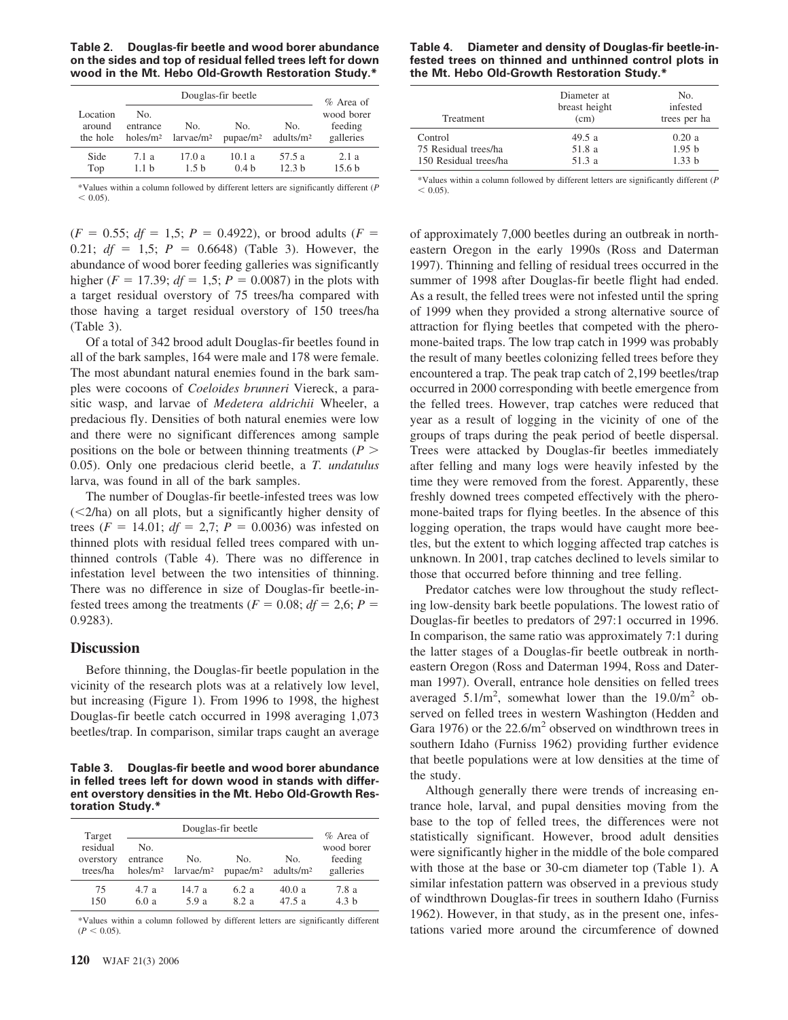**Table 2. Douglas-fir beetle and wood borer abundance on the sides and top of residual felled trees left for down wood in the Mt. Hebo Old-Growth Restoration Study.\***

|                                | Douglas-fir beetle                      |                              |                             |                              | $\%$ Area of                       |
|--------------------------------|-----------------------------------------|------------------------------|-----------------------------|------------------------------|------------------------------------|
| Location<br>around<br>the hole | No.<br>entrance<br>holes/m <sup>2</sup> | No.<br>larvae/m <sup>2</sup> | No.<br>pupae/m <sup>2</sup> | No.<br>adults/m <sup>2</sup> | wood borer<br>feeding<br>galleries |
| Side<br>Top                    | 7.1a<br>1.1 <sub>b</sub>                | 17.0a<br>1.5h                | 10.1a<br>0.4 <sub>h</sub>   | 57.5 a<br>12.3 <sub>h</sub>  | 2.1a<br>15.6 <sub>b</sub>          |

\*Values within a column followed by different letters are significantly different (*P*  $< 0.05$ ).

 $(F = 0.55; df = 1.5; P = 0.4922)$ , or brood adults  $(F = 0.55; df = 1.5; P = 0.4922)$ 0.21;  $df = 1.5$ ;  $P = 0.6648$ ) (Table 3). However, the abundance of wood borer feeding galleries was significantly higher ( $F = 17.39$ ;  $df = 1.5$ ;  $P = 0.0087$ ) in the plots with a target residual overstory of 75 trees/ha compared with those having a target residual overstory of 150 trees/ha (Table 3).

Of a total of 342 brood adult Douglas-fir beetles found in all of the bark samples, 164 were male and 178 were female. The most abundant natural enemies found in the bark samples were cocoons of *Coeloides brunneri* Viereck, a parasitic wasp, and larvae of *Medetera aldrichii* Wheeler, a predacious fly. Densities of both natural enemies were low and there were no significant differences among sample positions on the bole or between thinning treatments ( $P >$ 0.05). Only one predacious clerid beetle, a *T. undatulus* larva, was found in all of the bark samples.

The number of Douglas-fir beetle-infested trees was low  $(<2/ha$ ) on all plots, but a significantly higher density of trees ( $F = 14.01$ ;  $df = 2.7$ ;  $P = 0.0036$ ) was infested on thinned plots with residual felled trees compared with unthinned controls (Table 4). There was no difference in infestation level between the two intensities of thinning. There was no difference in size of Douglas-fir beetle-infested trees among the treatments ( $F = 0.08$ ;  $df = 2.6$ ;  $P =$ 0.9283).

### **Discussion**

Before thinning, the Douglas-fir beetle population in the vicinity of the research plots was at a relatively low level, but increasing (Figure 1). From 1996 to 1998, the highest Douglas-fir beetle catch occurred in 1998 averaging 1,073 beetles/trap. In comparison, similar traps caught an average

**Table 3. Douglas-fir beetle and wood borer abundance in felled trees left for down wood in stands with different overstory densities in the Mt. Hebo Old-Growth Restoration Study.\***

| Target                            | Douglas-fir beetle                      |                              |                             |                              | $%$ Area of                        |
|-----------------------------------|-----------------------------------------|------------------------------|-----------------------------|------------------------------|------------------------------------|
| residual<br>overstory<br>trees/ha | No.<br>entrance<br>holes/m <sup>2</sup> | No.<br>larvae/m <sup>2</sup> | No.<br>pupae/m <sup>2</sup> | No.<br>adults/m <sup>2</sup> | wood borer<br>feeding<br>galleries |
| 75<br>150                         | 4.7a<br>6.0 a                           | 14.7a<br>5.9a                | 6.2 a<br>82a                | 40.0a<br>47.5a               | 7.8 a<br>4.3 <sub>h</sub>          |

\*Values within a column followed by different letters are significantly different  $(P < 0.05)$ .

#### **Table 4. Diameter and density of Douglas-fir beetle-infested trees on thinned and unthinned control plots in the Mt. Hebo Old-Growth Restoration Study.\***

| <b>Treatment</b>                                         | Diameter at<br>breast height<br>(cm) | No.<br>infested<br>trees per ha      |
|----------------------------------------------------------|--------------------------------------|--------------------------------------|
| Control<br>75 Residual trees/ha<br>150 Residual trees/ha | 49.5a<br>51.8 a<br>51.3a             | 0.20a<br>1.95 <sub>b</sub><br>1.33 h |

\*Values within a column followed by different letters are significantly different (*P*  $< 0.05$ ).

of approximately 7,000 beetles during an outbreak in northeastern Oregon in the early 1990s (Ross and Daterman 1997). Thinning and felling of residual trees occurred in the summer of 1998 after Douglas-fir beetle flight had ended. As a result, the felled trees were not infested until the spring of 1999 when they provided a strong alternative source of attraction for flying beetles that competed with the pheromone-baited traps. The low trap catch in 1999 was probably the result of many beetles colonizing felled trees before they encountered a trap. The peak trap catch of 2,199 beetles/trap occurred in 2000 corresponding with beetle emergence from the felled trees. However, trap catches were reduced that year as a result of logging in the vicinity of one of the groups of traps during the peak period of beetle dispersal. Trees were attacked by Douglas-fir beetles immediately after felling and many logs were heavily infested by the time they were removed from the forest. Apparently, these freshly downed trees competed effectively with the pheromone-baited traps for flying beetles. In the absence of this logging operation, the traps would have caught more beetles, but the extent to which logging affected trap catches is unknown. In 2001, trap catches declined to levels similar to those that occurred before thinning and tree felling.

Predator catches were low throughout the study reflecting low-density bark beetle populations. The lowest ratio of Douglas-fir beetles to predators of 297:1 occurred in 1996. In comparison, the same ratio was approximately 7:1 during the latter stages of a Douglas-fir beetle outbreak in northeastern Oregon (Ross and Daterman 1994, Ross and Daterman 1997). Overall, entrance hole densities on felled trees averaged  $5.1/m^2$ , somewhat lower than the 19.0/m<sup>2</sup> observed on felled trees in western Washington (Hedden and Gara 1976) or the  $22.6/m^2$  observed on windthrown trees in southern Idaho (Furniss 1962) providing further evidence that beetle populations were at low densities at the time of the study.

Although generally there were trends of increasing entrance hole, larval, and pupal densities moving from the base to the top of felled trees, the differences were not statistically significant. However, brood adult densities were significantly higher in the middle of the bole compared with those at the base or 30-cm diameter top (Table 1). A similar infestation pattern was observed in a previous study of windthrown Douglas-fir trees in southern Idaho (Furniss 1962). However, in that study, as in the present one, infestations varied more around the circumference of downed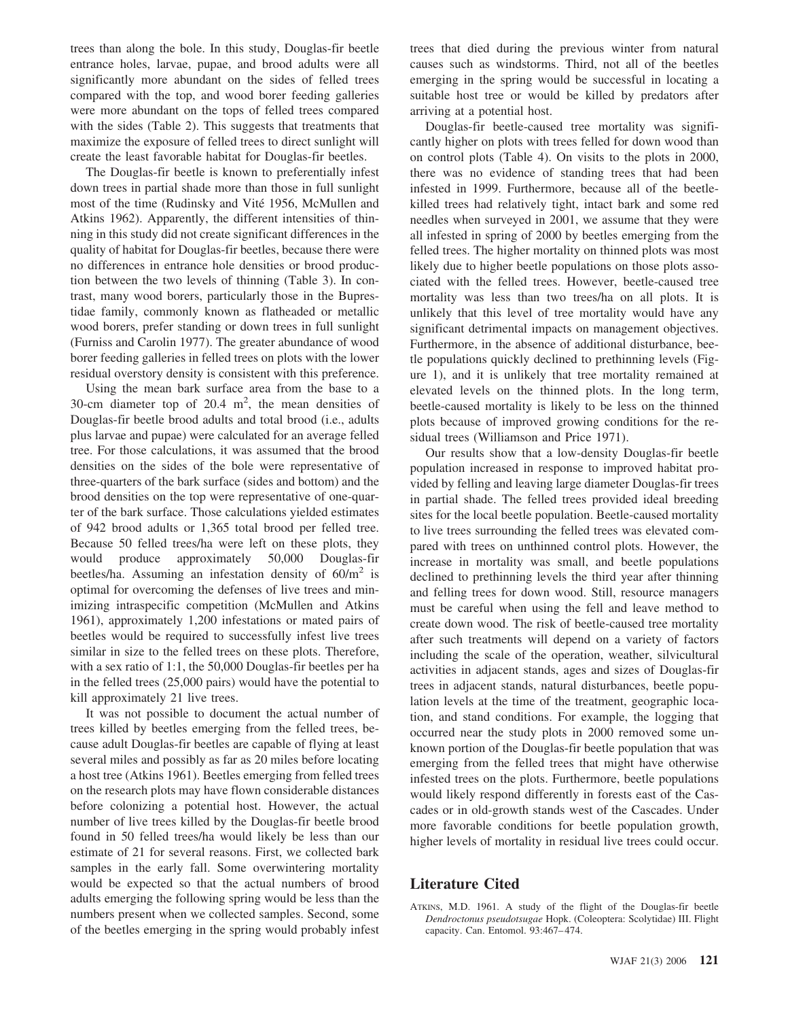trees than along the bole. In this study, Douglas-fir beetle entrance holes, larvae, pupae, and brood adults were all significantly more abundant on the sides of felled trees compared with the top, and wood borer feeding galleries were more abundant on the tops of felled trees compared with the sides (Table 2). This suggests that treatments that maximize the exposure of felled trees to direct sunlight will create the least favorable habitat for Douglas-fir beetles.

The Douglas-fir beetle is known to preferentially infest down trees in partial shade more than those in full sunlight most of the time (Rudinsky and Vité 1956, McMullen and Atkins 1962). Apparently, the different intensities of thinning in this study did not create significant differences in the quality of habitat for Douglas-fir beetles, because there were no differences in entrance hole densities or brood production between the two levels of thinning (Table 3). In contrast, many wood borers, particularly those in the Buprestidae family, commonly known as flatheaded or metallic wood borers, prefer standing or down trees in full sunlight (Furniss and Carolin 1977). The greater abundance of wood borer feeding galleries in felled trees on plots with the lower residual overstory density is consistent with this preference.

Using the mean bark surface area from the base to a 30-cm diameter top of 20.4  $m^2$ , the mean densities of Douglas-fir beetle brood adults and total brood (i.e., adults plus larvae and pupae) were calculated for an average felled tree. For those calculations, it was assumed that the brood densities on the sides of the bole were representative of three-quarters of the bark surface (sides and bottom) and the brood densities on the top were representative of one-quarter of the bark surface. Those calculations yielded estimates of 942 brood adults or 1,365 total brood per felled tree. Because 50 felled trees/ha were left on these plots, they would produce approximately 50,000 Douglas-fir beetles/ha. Assuming an infestation density of  $60/m^2$  is optimal for overcoming the defenses of live trees and minimizing intraspecific competition (McMullen and Atkins 1961), approximately 1,200 infestations or mated pairs of beetles would be required to successfully infest live trees similar in size to the felled trees on these plots. Therefore, with a sex ratio of 1:1, the 50,000 Douglas-fir beetles per ha in the felled trees (25,000 pairs) would have the potential to kill approximately 21 live trees.

It was not possible to document the actual number of trees killed by beetles emerging from the felled trees, because adult Douglas-fir beetles are capable of flying at least several miles and possibly as far as 20 miles before locating a host tree (Atkins 1961). Beetles emerging from felled trees on the research plots may have flown considerable distances before colonizing a potential host. However, the actual number of live trees killed by the Douglas-fir beetle brood found in 50 felled trees/ha would likely be less than our estimate of 21 for several reasons. First, we collected bark samples in the early fall. Some overwintering mortality would be expected so that the actual numbers of brood adults emerging the following spring would be less than the numbers present when we collected samples. Second, some of the beetles emerging in the spring would probably infest

trees that died during the previous winter from natural causes such as windstorms. Third, not all of the beetles emerging in the spring would be successful in locating a suitable host tree or would be killed by predators after arriving at a potential host.

Douglas-fir beetle-caused tree mortality was significantly higher on plots with trees felled for down wood than on control plots (Table 4). On visits to the plots in 2000, there was no evidence of standing trees that had been infested in 1999. Furthermore, because all of the beetlekilled trees had relatively tight, intact bark and some red needles when surveyed in 2001, we assume that they were all infested in spring of 2000 by beetles emerging from the felled trees. The higher mortality on thinned plots was most likely due to higher beetle populations on those plots associated with the felled trees. However, beetle-caused tree mortality was less than two trees/ha on all plots. It is unlikely that this level of tree mortality would have any significant detrimental impacts on management objectives. Furthermore, in the absence of additional disturbance, beetle populations quickly declined to prethinning levels (Figure 1), and it is unlikely that tree mortality remained at elevated levels on the thinned plots. In the long term, beetle-caused mortality is likely to be less on the thinned plots because of improved growing conditions for the residual trees (Williamson and Price 1971).

Our results show that a low-density Douglas-fir beetle population increased in response to improved habitat provided by felling and leaving large diameter Douglas-fir trees in partial shade. The felled trees provided ideal breeding sites for the local beetle population. Beetle-caused mortality to live trees surrounding the felled trees was elevated compared with trees on unthinned control plots. However, the increase in mortality was small, and beetle populations declined to prethinning levels the third year after thinning and felling trees for down wood. Still, resource managers must be careful when using the fell and leave method to create down wood. The risk of beetle-caused tree mortality after such treatments will depend on a variety of factors including the scale of the operation, weather, silvicultural activities in adjacent stands, ages and sizes of Douglas-fir trees in adjacent stands, natural disturbances, beetle population levels at the time of the treatment, geographic location, and stand conditions. For example, the logging that occurred near the study plots in 2000 removed some unknown portion of the Douglas-fir beetle population that was emerging from the felled trees that might have otherwise infested trees on the plots. Furthermore, beetle populations would likely respond differently in forests east of the Cascades or in old-growth stands west of the Cascades. Under more favorable conditions for beetle population growth, higher levels of mortality in residual live trees could occur.

# **Literature Cited**

ATKINS, M.D. 1961. A study of the flight of the Douglas-fir beetle *Dendroctonus pseudotsugae* Hopk. (Coleoptera: Scolytidae) III. Flight capacity. Can. Entomol. 93:467– 474.